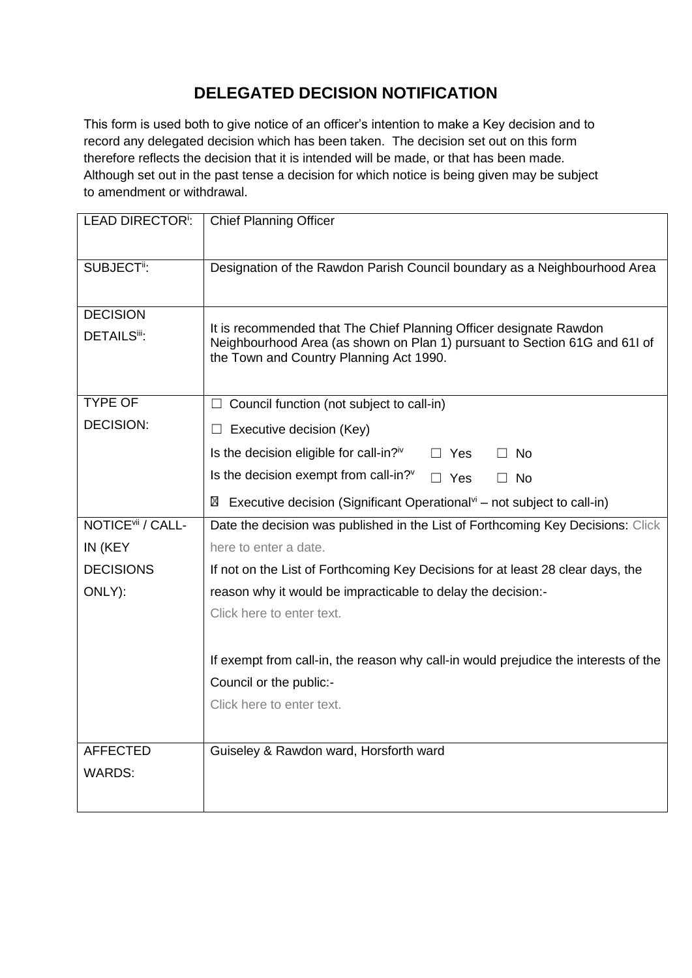## **DELEGATED DECISION NOTIFICATION**

This form is used both to give notice of an officer's intention to make a Key decision and to record any delegated decision which has been taken. The decision set out on this form therefore reflects the decision that it is intended will be made, or that has been made. Although set out in the past tense a decision for which notice is being given may be subject to amendment or withdrawal.

| <b>LEAD DIRECTOR<sup>I</sup>:</b> | <b>Chief Planning Officer</b>                                                                                                                                                               |  |  |  |
|-----------------------------------|---------------------------------------------------------------------------------------------------------------------------------------------------------------------------------------------|--|--|--|
| SUBJECT <sup>ii</sup> :           | Designation of the Rawdon Parish Council boundary as a Neighbourhood Area                                                                                                                   |  |  |  |
| <b>DECISION</b>                   |                                                                                                                                                                                             |  |  |  |
| <b>DETAILSii:</b>                 | It is recommended that The Chief Planning Officer designate Rawdon<br>Neighbourhood Area (as shown on Plan 1) pursuant to Section 61G and 61I of<br>the Town and Country Planning Act 1990. |  |  |  |
| <b>TYPE OF</b>                    | $\Box$ Council function (not subject to call-in)                                                                                                                                            |  |  |  |
| <b>DECISION:</b>                  | Executive decision (Key)                                                                                                                                                                    |  |  |  |
|                                   | Is the decision eligible for call-in? <sup>iv</sup><br>$\Box$ No<br>$\Box$ Yes                                                                                                              |  |  |  |
|                                   | Is the decision exempt from call-in?"<br>$\Box$ Yes<br>$\Box$ No                                                                                                                            |  |  |  |
|                                   | Executive decision (Significant Operational $\mathbf{v}$ <sup>i</sup> – not subject to call-in)<br>⊠                                                                                        |  |  |  |
| NOTICE <sup>vii</sup> / CALL-     | Date the decision was published in the List of Forthcoming Key Decisions: Click                                                                                                             |  |  |  |
| IN (KEY                           | here to enter a date.                                                                                                                                                                       |  |  |  |
| <b>DECISIONS</b>                  | If not on the List of Forthcoming Key Decisions for at least 28 clear days, the                                                                                                             |  |  |  |
| ONLY):                            | reason why it would be impracticable to delay the decision:-                                                                                                                                |  |  |  |
|                                   | Click here to enter text.                                                                                                                                                                   |  |  |  |
|                                   | If exempt from call-in, the reason why call-in would prejudice the interests of the                                                                                                         |  |  |  |
|                                   | Council or the public:-                                                                                                                                                                     |  |  |  |
|                                   | Click here to enter text.                                                                                                                                                                   |  |  |  |
| <b>AFFECTED</b>                   | Guiseley & Rawdon ward, Horsforth ward                                                                                                                                                      |  |  |  |
| <b>WARDS:</b>                     |                                                                                                                                                                                             |  |  |  |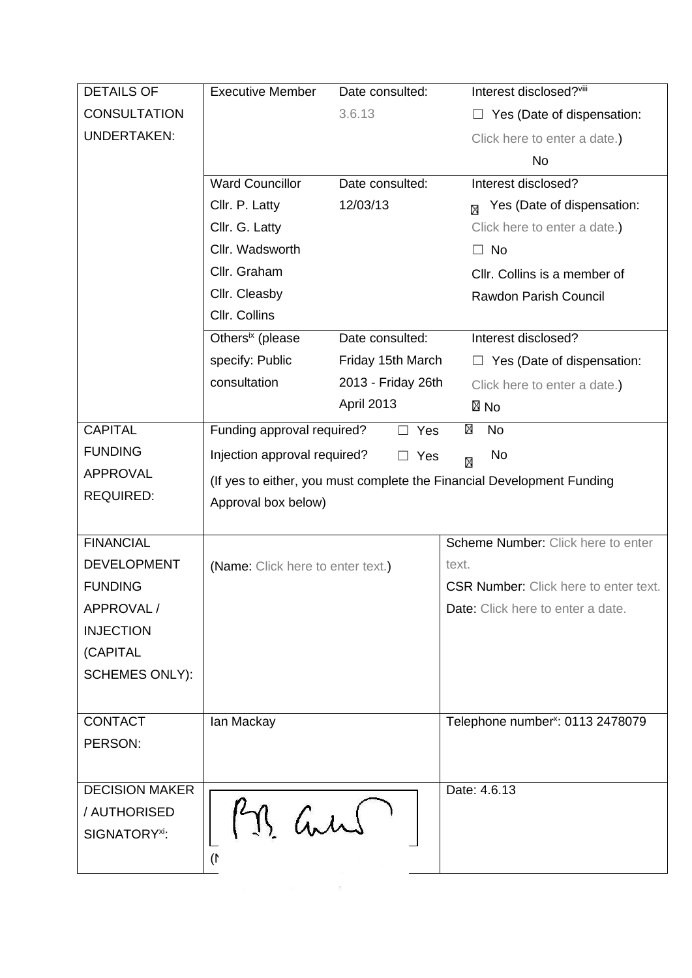| <b>DETAILS OF</b>         | <b>Executive Member</b>                               | Date consulted:    | Interest disclosed?viii                                                |  |
|---------------------------|-------------------------------------------------------|--------------------|------------------------------------------------------------------------|--|
| <b>CONSULTATION</b>       |                                                       | 3.6.13             | Yes (Date of dispensation:                                             |  |
| <b>UNDERTAKEN:</b>        |                                                       |                    | Click here to enter a date.)                                           |  |
|                           |                                                       |                    | No                                                                     |  |
|                           | <b>Ward Councillor</b>                                | Date consulted:    | Interest disclosed?                                                    |  |
|                           | Cllr. P. Latty                                        | 12/03/13           | Yes (Date of dispensation:<br>М                                        |  |
|                           | Cllr. G. Latty                                        |                    | Click here to enter a date.)                                           |  |
|                           | Cllr. Wadsworth                                       |                    | $\Box$ No                                                              |  |
|                           | Cllr. Graham                                          |                    | CIIr. Collins is a member of                                           |  |
|                           | Cllr. Cleasby                                         |                    | <b>Rawdon Parish Council</b>                                           |  |
|                           | Cllr. Collins                                         |                    |                                                                        |  |
|                           | Others <sup>ix</sup> (please                          | Date consulted:    | Interest disclosed?                                                    |  |
|                           | specify: Public                                       | Friday 15th March  | $\Box$ Yes (Date of dispensation:                                      |  |
|                           | consultation                                          | 2013 - Friday 26th | Click here to enter a date.)                                           |  |
|                           |                                                       | <b>April 2013</b>  | ⊠ No                                                                   |  |
| <b>CAPITAL</b>            | Funding approval required?                            | Yes<br>$\perp$     | ⊠<br><b>No</b>                                                         |  |
| <b>FUNDING</b>            | Injection approval required?<br>No<br>$\Box$ Yes<br>М |                    |                                                                        |  |
| <b>APPROVAL</b>           |                                                       |                    | (If yes to either, you must complete the Financial Development Funding |  |
| <b>REQUIRED:</b>          | Approval box below)                                   |                    |                                                                        |  |
|                           |                                                       |                    |                                                                        |  |
| <b>FINANCIAL</b>          |                                                       |                    | Scheme Number: Click here to enter                                     |  |
| <b>DEVELOPMENT</b>        | (Name: Click here to enter text.)                     |                    | text.                                                                  |  |
| <b>FUNDING</b>            |                                                       |                    | <b>CSR Number:</b> Click here to enter text.                           |  |
| APPROVAL /                |                                                       |                    | Date: Click here to enter a date.                                      |  |
| <b>INJECTION</b>          |                                                       |                    |                                                                        |  |
| (CAPITAL                  |                                                       |                    |                                                                        |  |
| <b>SCHEMES ONLY):</b>     |                                                       |                    |                                                                        |  |
|                           |                                                       |                    |                                                                        |  |
| <b>CONTACT</b>            | lan Mackay                                            |                    | Telephone number <sup>x</sup> : 0113 2478079                           |  |
| PERSON:                   |                                                       |                    |                                                                        |  |
|                           |                                                       |                    |                                                                        |  |
| <b>DECISION MAKER</b>     |                                                       |                    | Date: 4.6.13                                                           |  |
| / AUTHORISED              |                                                       |                    |                                                                        |  |
| SIGNATORY <sup>xi</sup> : | P.M. and                                              |                    |                                                                        |  |
|                           | $\mathcal{I}$                                         |                    |                                                                        |  |
|                           |                                                       |                    |                                                                        |  |

 $\label{eq:2.1} \begin{array}{cccccccccc} \mathbb{E} & \mathbb{E} & \mathbb{E} & \mathbb{E} & \mathbb{E} & \mathbb{E} & \mathbb{E} & \mathbb{E} & \mathbb{E} & \mathbb{E} & \mathbb{E} & \mathbb{E} & \mathbb{E} & \mathbb{E} & \mathbb{E} & \mathbb{E} & \mathbb{E} & \mathbb{E} & \mathbb{E} & \mathbb{E} & \mathbb{E} & \mathbb{E} & \mathbb{E} & \mathbb{E} & \mathbb{E} & \mathbb{E} & \mathbb{E} & \mathbb{E} & \mathbb{E}$